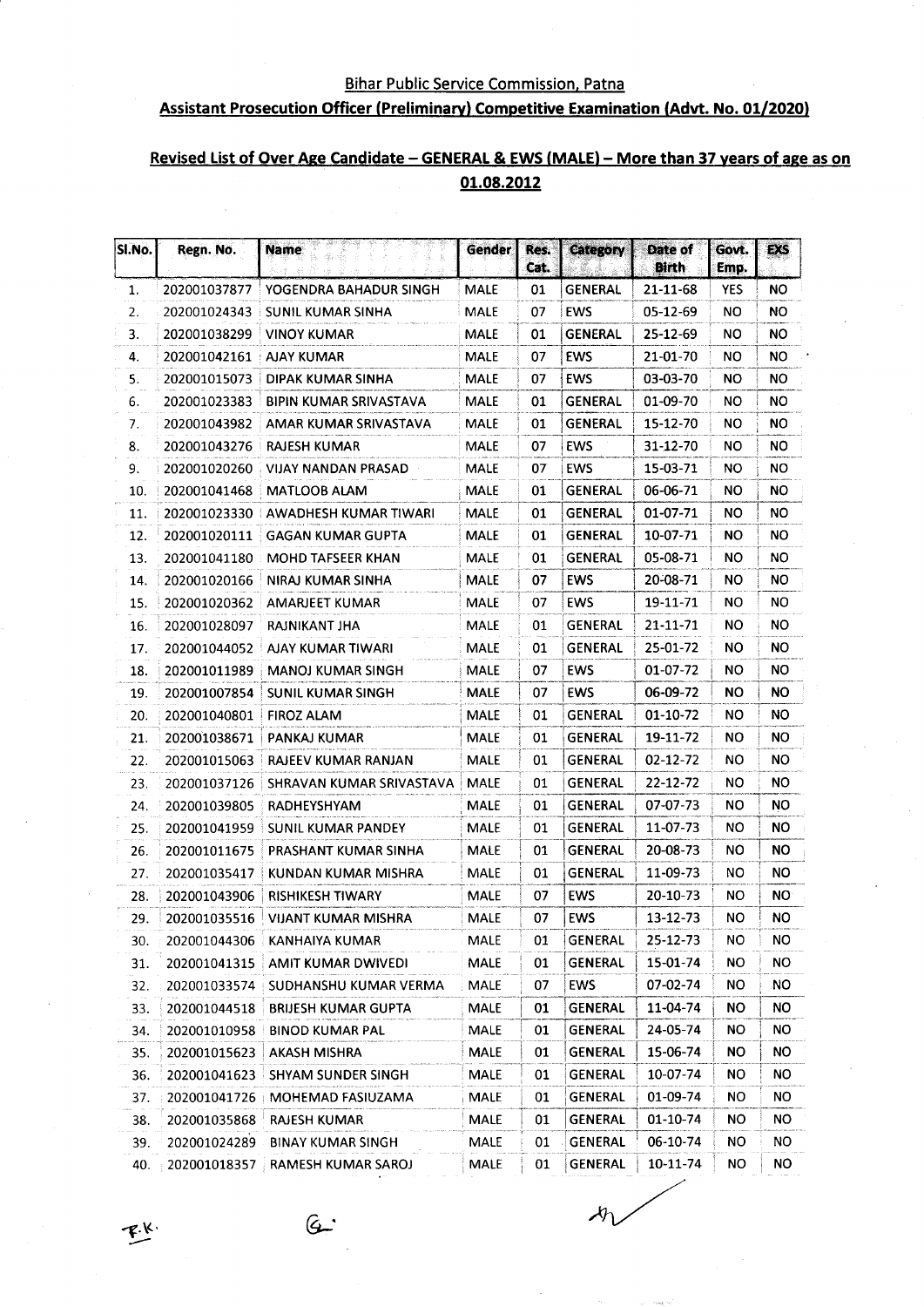#### **Bihar Public Service Commission, Patna**

### **Assistant Prosecution Officer (Preliminary) Competitive Examination (Advt. No. 01/2020)**

### Revised List of Over Age Candidate - GENERAL & EWS (MALE) - More than 37 years of age as on 01.08.2012

| SI.No. | Regn. No.    | <b>Name</b>                          | <b>Gender</b> | Res.<br>Cat. | <b>Category</b> | Date of<br><b>Birth</b> | Govt.<br>Emp. | EXS       |
|--------|--------------|--------------------------------------|---------------|--------------|-----------------|-------------------------|---------------|-----------|
| 1.     | 202001037877 | YOGENDRA BAHADUR SINGH               | <b>MALE</b>   | 01           | <b>GENERAL</b>  | 21-11-68                | <b>YES</b>    | NΟ        |
| 2.     | 202001024343 | SUNIL KUMAR SINHA                    | <b>MALE</b>   | 07           | EWS             | 05-12-69                | ΝO            | ΝO        |
| 3.     | 202001038299 | <b>VINOY KUMAR</b>                   | <b>MALE</b>   | 01           | <b>GENERAL</b>  | 25-12-69                | NO            | NO.       |
| 4.     | 202001042161 | <b>AJAY KUMAR</b>                    | <b>MALE</b>   | 07           | <b>EWS</b>      | 21-01-70                | NΟ            | NO.       |
| 5.     | 202001015073 | DIPAK KUMAR SINHA                    | <b>MALE</b>   | 07           | EWS             | 03-03-70                | NΟ            | NO.       |
| 6.     | 202001023383 | BIPIN KUMAR SRIVASTAVA               | <b>MALE</b>   | 01           | GENERAL         | 01-09-70                | NO.           | NO.       |
| 7.     | 202001043982 | AMAR KUMAR SRIVASTAVA                | <b>MALE</b>   | 01           | GENERAL         | 15-12-70                | NO            | ΝO        |
| 8.     | 202001043276 | RAJESH KUMAR                         | <b>MALE</b>   | 07           | <b>EWS</b>      | 31-12-70                | NO            | NO.       |
| 9.     | 202001020260 | VIJAY NANDAN PRASAD                  | <b>MALE</b>   | 07           | <b>EWS</b>      | 15-03-71                | NO.           | ΝO        |
| 10.    | 202001041468 | <b>MATLOOB ALAM</b>                  | <b>MALE</b>   | 01           | GENERAL         | 06-06-71                | NO.           | ΝO        |
| 11.    |              | 202001023330 AWADHESH KUMAR TIWARI   | <b>MALE</b>   | 01           | <b>GENERAL</b>  | 01-07-71                | <b>NO</b>     | ΝO        |
| 12.    | 202001020111 | GAGAN KUMAR GUPTA                    | <b>MALE</b>   | 01           | <b>GENERAL</b>  | 10-07-71                | ΝO            | ΝO        |
| 13.    |              | 202001041180 MOHD TAFSEER KHAN       | <b>MALE</b>   | 01           | <b>GENERAL</b>  | 05-08-71                | <b>NO</b>     | NO        |
| 14.    | 202001020166 | NIRAJ KUMAR SINHA                    | <b>MALE</b>   | 07           | EWS             | 20-08-71                | NO.           | NO.       |
| 15.    | 202001020362 | AMARJEET KUMAR                       | <b>MALE</b>   | 07           | <b>EWS</b>      | 19-11-71                | NO.           | NO.       |
| 16.    | 202001028097 | RAJNIKANT JHA                        | MALE          | 01           | <b>GENERAL</b>  | $21 - 11 - 71$          | NO.           | NO.       |
| 17.    | 202001044052 | AJAY KUMAR TIWARI                    | <b>MALE</b>   | 01           | <b>GENERAL</b>  | 25-01-72                | NO.           | <b>NO</b> |
| 18.    | 202001011989 | <b>MANOJ KUMAR SINGH</b>             | <b>MALE</b>   | 07           | <b>EWS</b>      | 01-07-72                | NO.           | ΝO        |
| 19.    | 202001007854 | SUNIL KUMAR SINGH                    | <b>MALE</b>   | 07           | EWS             | 06-09-72                | NO.           | NO.       |
| 20.    | 202001040801 | <b>FIROZ ALAM</b>                    | <b>MALE</b>   | 01           | <b>GENERAL</b>  | $01-10-72$              | NO.           | ΝO        |
| 21.    | 202001038671 | PANKAJ KUMAR                         | <b>MALE</b>   | 01           | <b>GENERAL</b>  | 19-11-72                | NO.           | NO        |
| 22.    | 202001015063 | RAJEEV KUMAR RANJAN                  | <b>MALE</b>   | 01           | <b>GENERAL</b>  | 02-12-72                | <b>NO</b>     | <b>NO</b> |
| 23.    | 202001037126 | SHRAVAN KUMAR SRIVASTAVA             | <b>MALE</b>   | 01           | <b>GENERAL</b>  | 22-12-72                | <b>NO</b>     | NO.       |
| 24.    | 202001039805 | RADHEYSHYAM                          | MALE          | 01           | <b>GENERAL</b>  | 07-07-73                | NΟ            | NO.       |
| 25.    | 202001041959 | SUNIL KUMAR PANDEY                   | <b>MALE</b>   | 01           | <b>GENERAL</b>  | 11-07-73                | NO            | <b>NO</b> |
| 26.    | 202001011675 | PRASHANT KUMAR SINHA                 | <b>MALE</b>   | 01           | <b>GENERAL</b>  | 20-08-73                | ΝO            | <b>NO</b> |
| 27.    | 202001035417 | KUNDAN KUMAR MISHRA                  | <b>MALE</b>   | 01           | <b>GENERAL</b>  | 11-09-73                | NO            | NΟ        |
| 28.    | 202001043906 | <b>RISHIKESH TIWARY</b>              | <b>MALE</b>   | 07           | <b>EWS</b>      | 20-10-73                | NΟ            | ΝO        |
| 29.    | 202001035516 | VIJANT KUMAR MISHRA                  | <b>MALE</b>   | 07           | <b>EWS</b>      | 13-12-73                | NO            | <b>NO</b> |
| 30.    |              | 202001044306 KANHAIYA KUMAR          | MALE          | 01           | <b>GENERAL</b>  | 25-12-73                | NO.           | NO.       |
| 31.    |              | 202001041315   AMIT KUMAR DWIVEDI    | MALE          | 01           | GENERAL         | 15-01-74                | NO.           | NO.       |
| 32.    |              | 202001033574   SUDHANSHU KUMAR VERMA | <b>MALE</b>   | 07           | <b>EWS</b>      | 07-02-74                | NO.           | ΝO        |
| 33.    |              | 202001044518 BRIJESH KUMAR GUPTA     | <b>MALE</b>   | 01           | <b>GENERAL</b>  | 11-04-74                | NO.           | NO.       |
| 34.    | 202001010958 | <b>BINOD KUMAR PAL</b>               | MALE          | 01           | <b>GENERAL</b>  | 24-05-74                | NO.           | NO        |
| 35.    | 202001015623 | <b>AKASH MISHRA</b>                  | <b>MALE</b>   | 01           | <b>GENERAL</b>  | 15-06-74                | NO.           | NO.       |
| 36.    | 202001041623 | SHYAM SUNDER SINGH                   | <b>MALE</b>   | 01           | GENERAL         | 10-07-74                | NO.           | NO.       |
| 37.    | 202001041726 | MOHEMAD FASIUZAMA                    | <b>MALE</b>   | 01           | <b>GENERAL</b>  | 01-09-74                | NO.           | NO.       |
| 38.    | 202001035868 | <b>RAJESH KUMAR</b>                  | <b>MALE</b>   | 01           | <b>GENERAL</b>  | 01-10-74                | NO.           | NO.       |
| 39.    | 202001024289 | <b>BINAY KUMAR SINGH</b>             | MALE          | 01           | GENERAL         | 06-10-74                | NO.           | NO.       |
| 40.    | 202001018357 | RAMESH KUMAR SAROJ                   | MALE          | 01           | <b>GENERAL</b>  | 10-11-74                | NO.           | NO.       |

 $G$ 

 $n<sub>1</sub>$ 

 $\mathcal{F}^{\mathcal{K}}$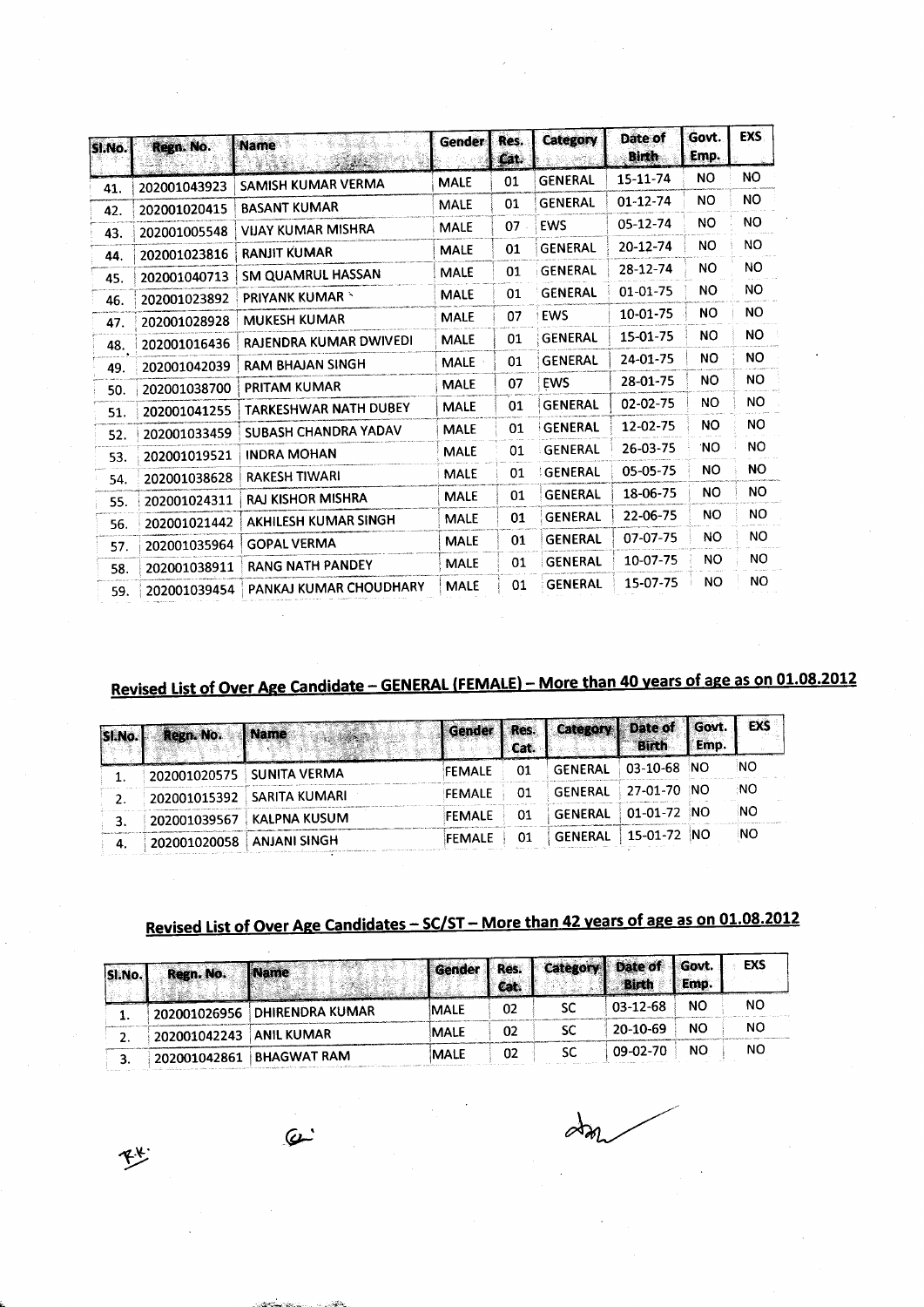| SI.No. | Regn. No.    | <b>Name</b><br>المتحاورين<br>5335 | Gender      | Res.<br>Cat. | Category       | Date of<br>Birth | Govt.<br>Emp. | <b>EXS</b> |
|--------|--------------|-----------------------------------|-------------|--------------|----------------|------------------|---------------|------------|
| 41.    | 202001043923 | SAMISH KUMAR VERMA                | <b>MALE</b> | 01           | <b>GENERAL</b> | 15-11-74         | NO.           | NO.        |
| 42.    | 202001020415 | <b>BASANT KUMAR</b>               | <b>MALE</b> | 01           | <b>GENERAL</b> | $01 - 12 - 74$   | <b>NO</b>     | NO.        |
| 43.    | 202001005548 | <b>VIJAY KUMAR MISHRA</b>         | <b>MALE</b> | 07           | <b>EWS</b>     | 05-12-74         | NO.           | <b>NO</b>  |
| 44.    | 202001023816 | <b>RANJIT KUMAR</b>               | <b>MALE</b> | 01           | <b>GENERAL</b> | 20-12-74         | NO.           | NO.        |
| 45.    | 202001040713 | SM QUAMRUL HASSAN                 | <b>MALE</b> | 01           | <b>GENERAL</b> | 28-12-74         | <b>NO</b>     | NO.        |
| 46.    | 202001023892 | <b>PRIYANK KUMAR *</b>            | <b>MALE</b> | 01           | <b>GENERAL</b> | 01-01-75         | <b>NO</b>     | NO.        |
| 47.    | 202001028928 | <b>MUKESH KUMAR</b>               | <b>MALE</b> | 07           | <b>EWS</b>     | 10-01-75         | NO.           | <b>NO</b>  |
| 48.    | 202001016436 | RAJENDRA KUMAR DWIVEDI            | <b>MALE</b> | 01           | <b>GENERAL</b> | 15-01-75         | <b>NO</b>     | <b>NO</b>  |
| 49.    | 202001042039 | <b>RAM BHAJAN SINGH</b>           | <b>MALE</b> | 01           | <b>GENERAL</b> | 24-01-75         | <b>NO</b>     | NO.        |
| 50.    | 202001038700 | PRITAM KUMAR                      | <b>MALE</b> | 07           | <b>EWS</b>     | 28-01-75         | <b>NO</b>     | NO.        |
| 51.    | 202001041255 | <b>TARKESHWAR NATH DUBEY</b>      | <b>MALE</b> | 01           | <b>GENERAL</b> | 02-02-75         | NO.           | <b>NO</b>  |
| 52.    | 202001033459 | SUBASH CHANDRA YADAV              | <b>MALE</b> | 01           | GENERAL        | 12-02-75         | <b>NO</b>     | <b>NO</b>  |
| 53.    | 202001019521 | <b>INDRA MOHAN</b>                | <b>MALE</b> | 01           | <b>GENERAL</b> | 26-03-75         | 'NO           | NO.        |
| 54.    | 202001038628 | <b>RAKESH TIWARI</b>              | <b>MALE</b> | 01           | GENERAL        | 05-05-75         | NO.           | NO.        |
| 55.    | 202001024311 | <b>RAJ KISHOR MISHRA</b>          | <b>MALE</b> | 01           | <b>GENERAL</b> | 18-06-75         | NO.           | <b>NO</b>  |
| 56.    | 202001021442 | AKHILESH KUMAR SINGH              | <b>MALE</b> | 01           | <b>GENERAL</b> | 22-06-75         | NO.           | NO.        |
| 57.    | 202001035964 | <b>GOPAL VERMA</b>                | <b>MALE</b> | 01           | <b>GENERAL</b> | 07-07-75         | NO.           | NO.        |
| 58.    | 202001038911 | <b>RANG NATH PANDEY</b>           | <b>MALE</b> | 01           | <b>GENERAL</b> | 10-07-75         | <b>NO</b>     | NO.        |
| 59.    | 202001039454 | PANKAJ KUMAR CHOUDHARY            | <b>MALE</b> | 01           | <b>GENERAL</b> | 15-07-75         | NO.           | <b>NO</b>  |

## Revised List of Over Age Candidate - GENERAL (FEMALE) - More than 40 years of age as on 01.08.2012

| SI.No. | Regn. No.    | <b>Name</b>                | Sender        | I Res.<br>Cat. | Category   Date of                                         | I Birth       | Govt.   EXS<br>Emp. |           |
|--------|--------------|----------------------------|---------------|----------------|------------------------------------------------------------|---------------|---------------------|-----------|
|        |              | 202001020575 SUNITA VERMA  | FEMALE        | 01             | GENERAL                                                    | $03-10-68$    | ាហ                  | <b>NO</b> |
|        |              | 202001015392 SARITA KUMARI | <b>FEMALE</b> | 01             | $^{\circ}$ GENERAL $\pm$ 27-01-70 $^{\circ}$ NO $^{\circ}$ |               |                     | NO.       |
|        | 202001039567 | KALPNA KUSUM               | FEMALE        | 01             | $\degree$ GENERAL $\degree$ 01-01-72 $\degree$             |               | ിNO.                | -NO       |
|        | 202001020058 | ANJANI SINGH               | FEMALE        | 01             | GENERAL                                                    | $15-01-72$ NO |                     | <b>NO</b> |

### Revised List of Over Age Candidates - SC/ST - More than 42 years of age as on 01.08.2012

| SI.No. | Regn. No. Name          |                                          | Gender   Res. | l Cat. | Category Date of | <b>Birth</b> | l Govt.<br>Emp. | EXS |
|--------|-------------------------|------------------------------------------|---------------|--------|------------------|--------------|-----------------|-----|
|        |                         | 202001026956 DHIRENDRA KUMAR             | <b>MALE</b>   | 02     | sc               | $03-12-68$   | <b>NO</b>       | NО  |
| ٠.     | 202001042243 ANIL KUMAR |                                          | MALE          | 02     |                  | 20-10-69     | <b>NO</b>       | NO  |
|        |                         | $\frac{1}{2}$ 202001042861   BHAGWAT RAM | <b>MALE</b>   | 02     | SC               | 09-02-70     | <b>NO</b>       | NO  |

 $\partial\mathfrak{b}_0$ 

砂

 $\omega$